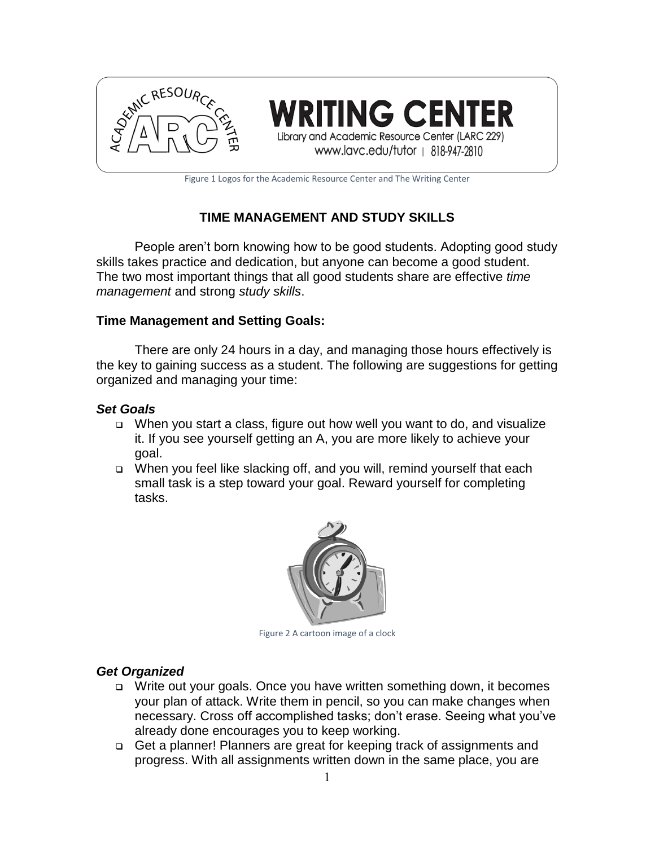

ING CENTER Library and Academic Resource Center (LARC 229)

www.lavc.edu/tutor | 818-947-2810

Figure 1 Logos for the Academic Resource Center and The Writing Center

# **TIME MANAGEMENT AND STUDY SKILLS**

People aren't born knowing how to be good students. Adopting good study skills takes practice and dedication, but anyone can become a good student. The two most important things that all good students share are effective *time management* and strong *study skills*.

#### **Time Management and Setting Goals:**

There are only 24 hours in a day, and managing those hours effectively is the key to gaining success as a student. The following are suggestions for getting organized and managing your time:

## *Set Goals*

- When you start a class, figure out how well you want to do, and visualize it. If you see yourself getting an A, you are more likely to achieve your goal.
- □ When you feel like slacking off, and you will, remind yourself that each small task is a step toward your goal. Reward yourself for completing tasks.



Figure 2 A cartoon image of a clock

## *Get Organized*

- □ Write out your goals. Once you have written something down, it becomes your plan of attack. Write them in pencil, so you can make changes when necessary. Cross off accomplished tasks; don't erase. Seeing what you've already done encourages you to keep working.
- □ Get a planner! Planners are great for keeping track of assignments and progress. With all assignments written down in the same place, you are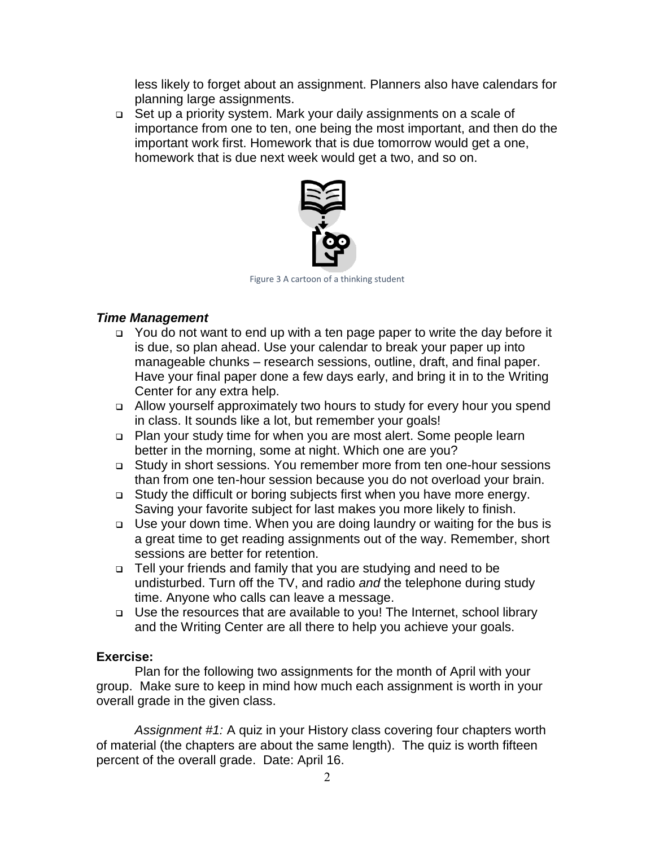less likely to forget about an assignment. Planners also have calendars for planning large assignments.

 Set up a priority system. Mark your daily assignments on a scale of importance from one to ten, one being the most important, and then do the important work first. Homework that is due tomorrow would get a one, homework that is due next week would get a two, and so on.



Figure 3 A cartoon of a thinking student

## *Time Management*

- □ You do not want to end up with a ten page paper to write the day before it is due, so plan ahead. Use your calendar to break your paper up into manageable chunks – research sessions, outline, draft, and final paper. Have your final paper done a few days early, and bring it in to the Writing Center for any extra help.
- Allow yourself approximately two hours to study for every hour you spend in class. It sounds like a lot, but remember your goals!
- Plan your study time for when you are most alert. Some people learn better in the morning, some at night. Which one are you?
- Study in short sessions. You remember more from ten one-hour sessions than from one ten-hour session because you do not overload your brain.
- □ Study the difficult or boring subjects first when you have more energy. Saving your favorite subject for last makes you more likely to finish.
- □ Use your down time. When you are doing laundry or waiting for the bus is a great time to get reading assignments out of the way. Remember, short sessions are better for retention.
- Tell your friends and family that you are studying and need to be undisturbed. Turn off the TV, and radio *and* the telephone during study time. Anyone who calls can leave a message.
- □ Use the resources that are available to you! The Internet, school library and the Writing Center are all there to help you achieve your goals.

#### **Exercise:**

Plan for the following two assignments for the month of April with your group. Make sure to keep in mind how much each assignment is worth in your overall grade in the given class.

*Assignment #1:* A quiz in your History class covering four chapters worth of material (the chapters are about the same length). The quiz is worth fifteen percent of the overall grade. Date: April 16.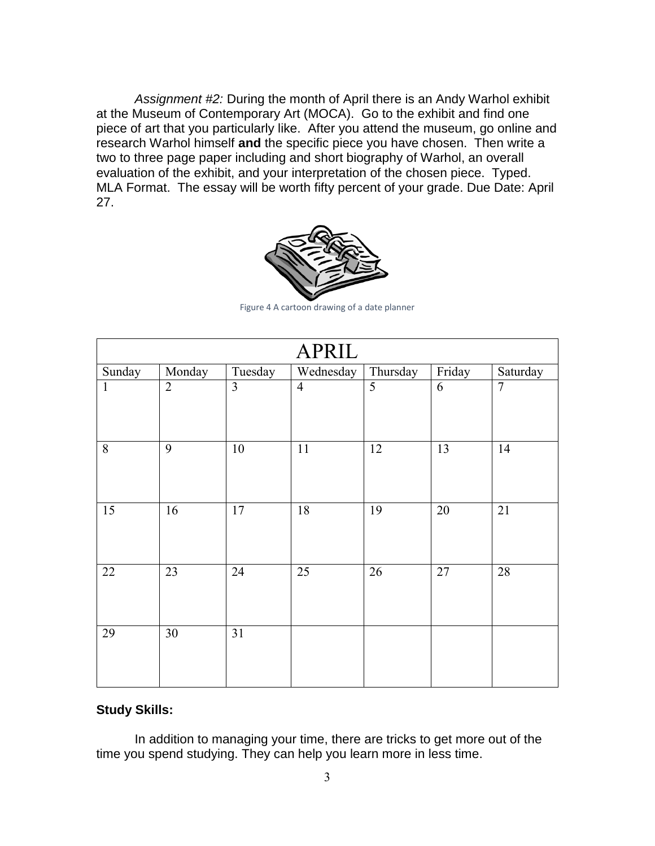*Assignment #2:* During the month of April there is an Andy Warhol exhibit at the Museum of Contemporary Art (MOCA). Go to the exhibit and find one piece of art that you particularly like. After you attend the museum, go online and research Warhol himself **and** the specific piece you have chosen. Then write a two to three page paper including and short biography of Warhol, an overall evaluation of the exhibit, and your interpretation of the chosen piece. Typed. MLA Format. The essay will be worth fifty percent of your grade. Due Date: April 27.



Figure 4 A cartoon drawing of a date planner

| <b>APRIL</b>    |                |                 |                |          |                 |                |
|-----------------|----------------|-----------------|----------------|----------|-----------------|----------------|
| Sunday          | Monday         | Tuesday         | Wednesday      | Thursday | Friday          | Saturday       |
| $\mathbf{1}$    | $\overline{2}$ | $\overline{3}$  | $\overline{4}$ | 5        | 6               | $\overline{7}$ |
| $\,8\,$         | 9              | 10              | 11             | 12       | 13              | 14             |
| $\overline{15}$ | 16             | 17              | 18             | 19       | 20              | 21             |
| 22              | 23             | $\overline{24}$ | 25             | 26       | $\overline{27}$ | 28             |
| 29              | 30             | 31              |                |          |                 |                |

#### **Study Skills:**

In addition to managing your time, there are tricks to get more out of the time you spend studying. They can help you learn more in less time.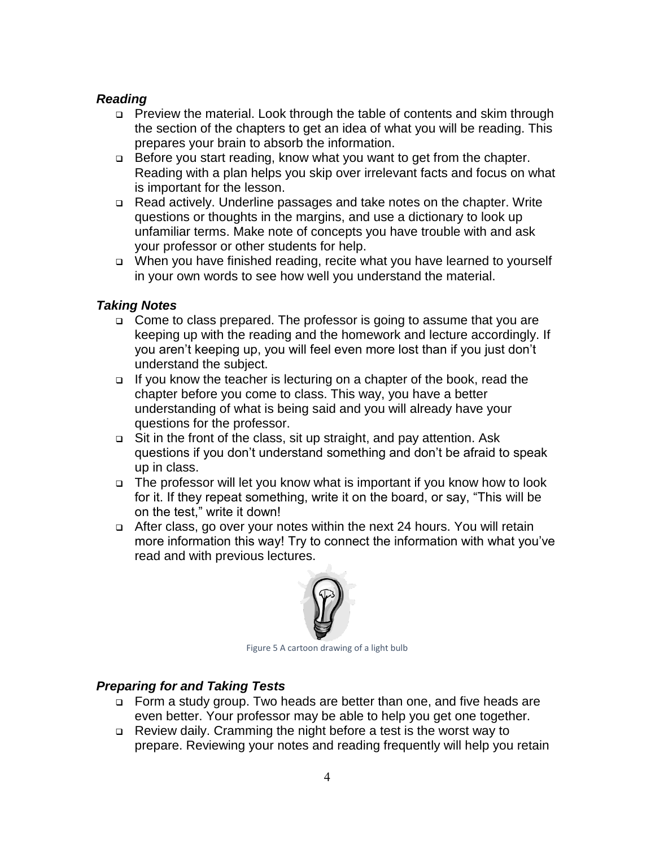#### *Reading*

- □ Preview the material. Look through the table of contents and skim through the section of the chapters to get an idea of what you will be reading. This prepares your brain to absorb the information.
- □ Before you start reading, know what you want to get from the chapter. Reading with a plan helps you skip over irrelevant facts and focus on what is important for the lesson.
- Read actively. Underline passages and take notes on the chapter. Write questions or thoughts in the margins, and use a dictionary to look up unfamiliar terms. Make note of concepts you have trouble with and ask your professor or other students for help.
- □ When you have finished reading, recite what you have learned to yourself in your own words to see how well you understand the material.

## *Taking Notes*

- □ Come to class prepared. The professor is going to assume that you are keeping up with the reading and the homework and lecture accordingly. If you aren't keeping up, you will feel even more lost than if you just don't understand the subject.
- $\Box$  If you know the teacher is lecturing on a chapter of the book, read the chapter before you come to class. This way, you have a better understanding of what is being said and you will already have your questions for the professor.
- Sit in the front of the class, sit up straight, and pay attention. Ask questions if you don't understand something and don't be afraid to speak up in class.
- □ The professor will let you know what is important if you know how to look for it. If they repeat something, write it on the board, or say, "This will be on the test," write it down!
- After class, go over your notes within the next 24 hours. You will retain more information this way! Try to connect the information with what you've read and with previous lectures.



Figure 5 A cartoon drawing of a light bulb

#### *Preparing for and Taking Tests*

- □ Form a study group. Two heads are better than one, and five heads are even better. Your professor may be able to help you get one together.
- Review daily. Cramming the night before a test is the worst way to prepare. Reviewing your notes and reading frequently will help you retain